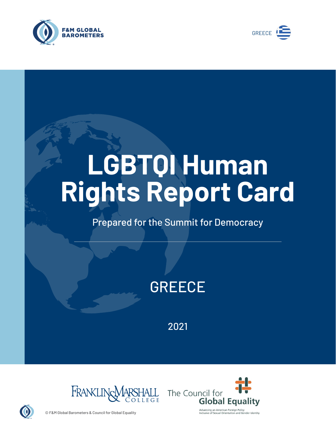



# **LGBTQI Human Rights Report Card**

# Prepared for the Summit for Democracy

# **GREECE**

2021





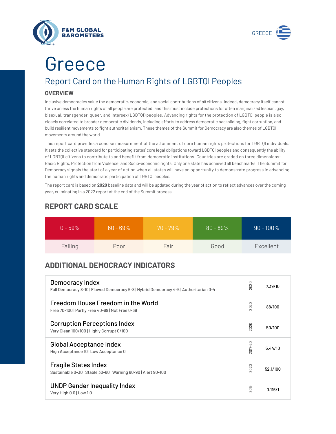



# Greece

# Report Card on the Human Rights of LGBTQI Peoples

## **OVERVIEW**

Inclusive democracies value the democratic, economic, and social contributions of *all* citizens. Indeed, democracy itself cannot thrive unless the human rights of all people are protected, and this must include protections for often marginalized lesbian, gay, bisexual, transgender, queer, and intersex (LGBTQI) peoples. Advancing rights for the protection of LGBTQI people is also closely correlated to broader democratic dividends, including efforts to address democratic backsliding, fight corruption, and build resilient movements to fight authoritarianism. These themes of the Summit for Democracy are also themes of LGBTQI movements around the world.

This report card provides a concise measurement of the attainment of core human rights protections for LGBTQI individuals. It sets the collective standard for participating states' core legal obligations toward LGBTQI peoples and consequently the ability of LGBTQI citizens to contribute to and benefit from democratic institutions. Countries are graded on three dimensions: Basic Rights, Protection from Violence, and Socio-economic rights. Only one state has achieved all benchmarks. The Summit for Democracy signals the start of a year of action when all states will have an opportunity to demonstrate progress in advancing the human rights and democratic participation of LGBTQI peoples.

The report card is based on **2020** baseline data and will be updated during the year of action to reflect advances over the coming year, culminating in a 2022 report at the end of the Summit process.

| $0 - 59\%$ | $60 - 69\%$ | $70 - 79\%$ | $80 - 89\%$ | $90 - 100\%$ |
|------------|-------------|-------------|-------------|--------------|
| Failing    | Poor        | Fair        | Good        | Excellent    |

# **REPORT CARD SCALE**

# **ADDITIONAL DEMOCRACY INDICATORS**

| Democracy Index<br>Full Democracy 8-10   Flawed Democracy 6-8   Hybrid Democracy 4-6   Authoritarian 0-4 | 2020                   | 7.39/10  |
|----------------------------------------------------------------------------------------------------------|------------------------|----------|
| Freedom House Freedom in the World<br>Free 70-100   Partly Free 40-69   Not Free 0-39                    | 2020                   | 88/100   |
| <b>Corruption Perceptions Index</b><br>Very Clean 100/100   Highly Corrupt 0/100                         | 020<br>$\sim$          | 50/100   |
| <b>Global Acceptance Index</b><br>High Acceptance 10   Low Acceptance 0                                  | 2017-20                | 5.44/10  |
| <b>Fragile States Index</b><br>Sustainable 0-30   Stable 30-60   Warning 60-90   Alert 90-100            | 2020                   | 52.1/100 |
| <b>UNDP Gender Inequality Index</b><br>Very High 0.0   Low 1.0                                           | တ<br>5<br>$\bar{\sim}$ | 0.116/1  |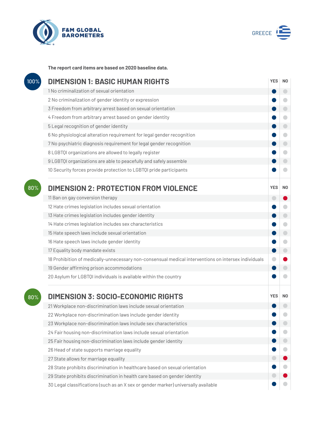



**The report card items are based on 2020 baseline data.**

| 100% | <b>DIMENSION 1: BASIC HUMAN RIGHTS</b>                                                               |            |                |
|------|------------------------------------------------------------------------------------------------------|------------|----------------|
|      | 1 No criminalization of sexual orientation                                                           |            | O              |
|      | 2 No criminalization of gender identity or expression                                                |            | G              |
|      | 3 Freedom from arbitrary arrest based on sexual orientation                                          |            |                |
|      | 4 Freedom from arbitrary arrest based on gender identity                                             |            | $\bullet$      |
|      | 5 Legal recognition of gender identity                                                               |            | $\bigcirc$     |
|      | 6 No physiological alteration requirement for legal gender recognition                               |            | O              |
|      | 7 No psychiatric diagnosis requirement for legal gender recognition                                  |            | $\bigcirc$     |
|      | 8 LGBTQI organizations are allowed to legally register                                               |            | O              |
|      | 9 LGBTQI organizations are able to peacefully and safely assemble                                    |            |                |
|      | 10 Security forces provide protection to LGBTQI pride participants                                   |            |                |
| 80%  | <b>DIMENSION 2: PROTECTION FROM VIOLENCE</b>                                                         | <b>YES</b> | N <sub>0</sub> |
|      | 11 Ban on gay conversion therapy                                                                     | O          |                |
|      | 12 Hate crimes legislation includes sexual orientation                                               |            |                |
|      | 13 Hate crimes legislation includes gender identity                                                  |            | $\bigcirc$     |
|      | 14 Hate crimes legislation includes sex characteristics                                              |            | 0              |
|      | 15 Hate speech laws include sexual orientation                                                       |            | $\Box$         |
|      | 16 Hate speech laws include gender identity                                                          |            | O              |
|      | 17 Equality body mandate exists                                                                      |            | $\bigcirc$     |
|      | 18 Prohibition of medically-unnecessary non-consensual medical interventions on intersex individuals |            |                |
|      | 19 Gender affirming prison accommodations                                                            |            |                |
|      | 20 Asylum for LGBTQI individuals is available within the country                                     |            |                |
| 80%  | <b>DIMENSION 3: SOCIO-ECONOMIC RIGHTS</b>                                                            | <b>YES</b> | N <sub>0</sub> |
|      | 21 Workplace non-discrimination laws include sexual orientation                                      |            |                |
|      | 22 Workplace non-discrimination laws include gender identity                                         |            |                |
|      | 23 Workplace non-discrimination laws include sex characteristics                                     |            |                |
|      | 24 Fair housing non-discrimination laws include sexual orientation                                   |            |                |
|      | 25 Fair housing non-discrimination laws include gender identity                                      |            |                |
|      | 26 Head of state supports marriage equality                                                          |            |                |
|      | 27 State allows for marriage equality                                                                |            |                |
|      | 28 State prohibits discrimination in healthcare based on sexual orientation                          |            |                |
|      | 29 State prohibits discrimination in health care based on gender identity                            |            |                |
|      | 30 Legal classifications (such as an X sex or gender marker) universally available                   |            |                |
|      |                                                                                                      |            |                |